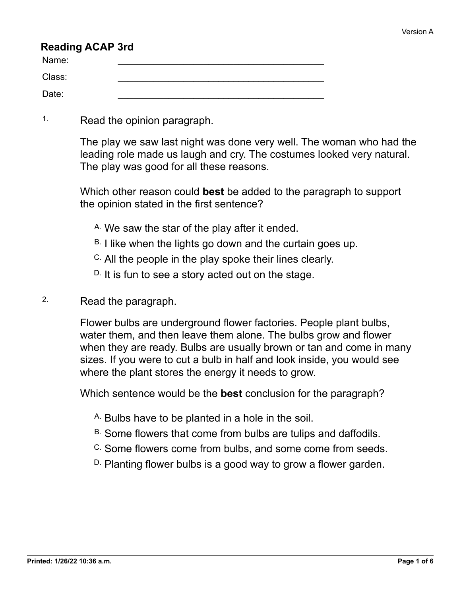#### **Reading ACAP 3rd**

| Name:  |  |
|--------|--|
| Class: |  |
| Date:  |  |

1. Read the opinion paragraph.

The play we saw last night was done very well. The woman who had the leading role made us laugh and cry. The costumes looked very natural. The play was good for all these reasons.

Which other reason could **best** be added to the paragraph to support the opinion stated in the first sentence?

- A. We saw the star of the play after it ended.
- $B.$  I like when the lights go down and the curtain goes up.
- C. All the people in the play spoke their lines clearly.
- $D$ . It is fun to see a story acted out on the stage.

#### 2. Read the paragraph.

Flower bulbs are underground flower factories. People plant bulbs, water them, and then leave them alone. The bulbs grow and flower when they are ready. Bulbs are usually brown or tan and come in many sizes. If you were to cut a bulb in half and look inside, you would see where the plant stores the energy it needs to grow.

Which sentence would be the **best** conclusion for the paragraph?

- A. Bulbs have to be planted in a hole in the soil.
- B. Some flowers that come from bulbs are tulips and daffodils.
- C. Some flowers come from bulbs, and some come from seeds.
- D. Planting flower bulbs is a good way to grow a flower garden.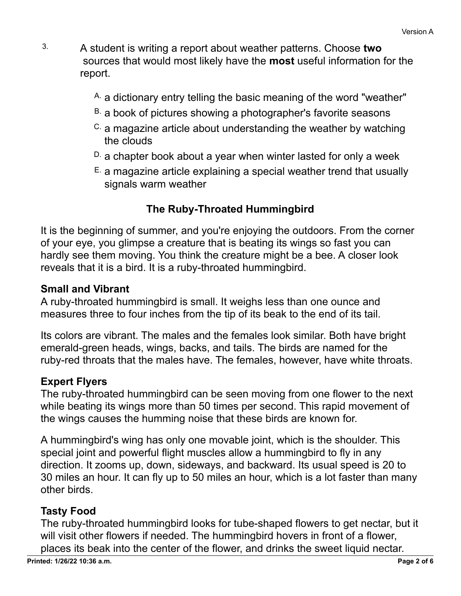- 3. A student is writing a report about weather patterns. Choose **two** sources that would most likely have the **most** useful information for the report.
	- A. a dictionary entry telling the basic meaning of the word "weather"
	- B. a book of pictures showing a photographer's favorite seasons
	- $\text{c}$  a magazine article about understanding the weather by watching the clouds
	- $D<sub>c</sub>$  a chapter book about a year when winter lasted for only a week
	- $E<sub>c</sub>$  a magazine article explaining a special weather trend that usually signals warm weather

# **The Ruby-Throated Hummingbird**

It is the beginning of summer, and you're enjoying the outdoors. From the corner of your eye, you glimpse a creature that is beating its wings so fast you can hardly see them moving. You think the creature might be a bee. A closer look reveals that it is a bird. It is a ruby-throated hummingbird.

#### **Small and Vibrant**

A ruby-throated hummingbird is small. It weighs less than one ounce and measures three to four inches from the tip of its beak to the end of its tail.

Its colors are vibrant. The males and the females look similar. Both have bright emerald-green heads, wings, backs, and tails. The birds are named for the ruby-red throats that the males have. The females, however, have white throats.

## **Expert Flyers**

The ruby-throated hummingbird can be seen moving from one flower to the next while beating its wings more than 50 times per second. This rapid movement of the wings causes the humming noise that these birds are known for.

A hummingbird's wing has only one movable joint, which is the shoulder. This special joint and powerful flight muscles allow a hummingbird to fly in any direction. It zooms up, down, sideways, and backward. Its usual speed is 20 to 30 miles an hour. It can fly up to 50 miles an hour, which is a lot faster than many other birds.

## **Tasty Food**

The ruby-throated hummingbird looks for tube-shaped flowers to get nectar, but it will visit other flowers if needed. The hummingbird hovers in front of a flower, places its beak into the center of the flower, and drinks the sweet liquid nectar.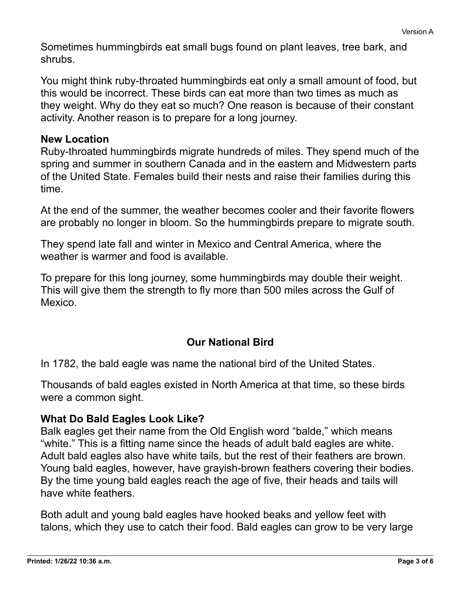Sometimes hummingbirds eat small bugs found on plant leaves, tree bark, and

You might think ruby-throated hummingbirds eat only a small amount of food, but this would be incorrect. These birds can eat more than two times as much as they weight. Why do they eat so much? One reason is because of their constant activity. Another reason is to prepare for a long journey.

#### **New Location**

shrubs.

Ruby-throated hummingbirds migrate hundreds of miles. They spend much of the spring and summer in southern Canada and in the eastern and Midwestern parts of the United State. Females build their nests and raise their families during this time.

At the end of the summer, the weather becomes cooler and their favorite flowers are probably no longer in bloom. So the hummingbirds prepare to migrate south.

They spend late fall and winter in Mexico and Central America, where the weather is warmer and food is available.

To prepare for this long journey, some hummingbirds may double their weight. This will give them the strength to fly more than 500 miles across the Gulf of Mexico.

## **Our National Bird**

In 1782, the bald eagle was name the national bird of the United States.

Thousands of bald eagles existed in North America at that time, so these birds were a common sight.

## **What Do Bald Eagles Look Like?**

Balk eagles get their name from the Old English word "balde," which means "white." This is a fitting name since the heads of adult bald eagles are white. Adult bald eagles also have white tails, but the rest of their feathers are brown. Young bald eagles, however, have grayish-brown feathers covering their bodies. By the time young bald eagles reach the age of five, their heads and tails will have white feathers.

Both adult and young bald eagles have hooked beaks and yellow feet with talons, which they use to catch their food. Bald eagles can grow to be very large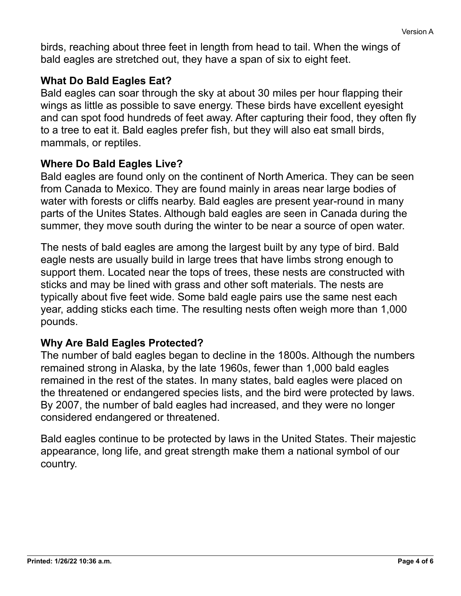birds, reaching about three feet in length from head to tail. When the wings of bald eagles are stretched out, they have a span of six to eight feet.

## **What Do Bald Eagles Eat?**

Bald eagles can soar through the sky at about 30 miles per hour flapping their wings as little as possible to save energy. These birds have excellent eyesight and can spot food hundreds of feet away. After capturing their food, they often fly to a tree to eat it. Bald eagles prefer fish, but they will also eat small birds, mammals, or reptiles.

#### **Where Do Bald Eagles Live?**

Bald eagles are found only on the continent of North America. They can be seen from Canada to Mexico. They are found mainly in areas near large bodies of water with forests or cliffs nearby. Bald eagles are present year-round in many parts of the Unites States. Although bald eagles are seen in Canada during the summer, they move south during the winter to be near a source of open water.

The nests of bald eagles are among the largest built by any type of bird. Bald eagle nests are usually build in large trees that have limbs strong enough to support them. Located near the tops of trees, these nests are constructed with sticks and may be lined with grass and other soft materials. The nests are typically about five feet wide. Some bald eagle pairs use the same nest each year, adding sticks each time. The resulting nests often weigh more than 1,000 pounds.

## **Why Are Bald Eagles Protected?**

The number of bald eagles began to decline in the 1800s. Although the numbers remained strong in Alaska, by the late 1960s, fewer than 1,000 bald eagles remained in the rest of the states. In many states, bald eagles were placed on the threatened or endangered species lists, and the bird were protected by laws. By 2007, the number of bald eagles had increased, and they were no longer considered endangered or threatened.

Bald eagles continue to be protected by laws in the United States. Their majestic appearance, long life, and great strength make them a national symbol of our country.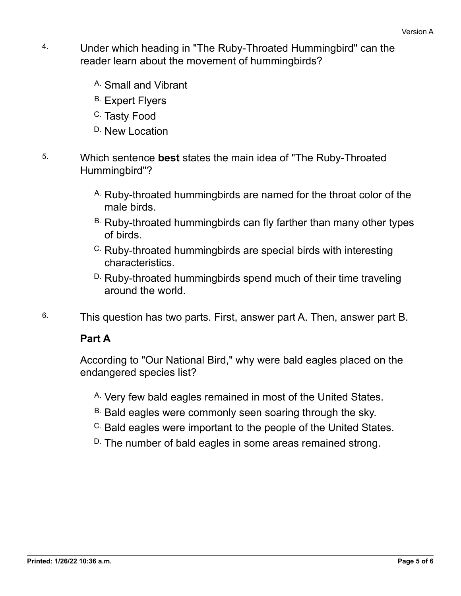- 4. Under which heading in "The Ruby-Throated Hummingbird" can the reader learn about the movement of hummingbirds?
	- A. Small and Vibrant
	- B. Expert Flyers
	- <sup>C.</sup> Tasty Food
	- D. New Location
- 5. Which sentence **best** states the main idea of "The Ruby-Throated Hummingbird"?
	- A. Ruby-throated hummingbirds are named for the throat color of the male birds.
	- B. Ruby-throated hummingbirds can fly farther than many other types of birds.
	- C. Ruby-throated hummingbirds are special birds with interesting characteristics.
	- D. Ruby-throated hummingbirds spend much of their time traveling around the world.
- 6. This question has two parts. First, answer part A. Then, answer part B.

## **Part A**

According to "Our National Bird," why were bald eagles placed on the endangered species list?

- A. Very few bald eagles remained in most of the United States.
- B. Bald eagles were commonly seen soaring through the sky.
- C. Bald eagles were important to the people of the United States.
- D. The number of bald eagles in some areas remained strong.